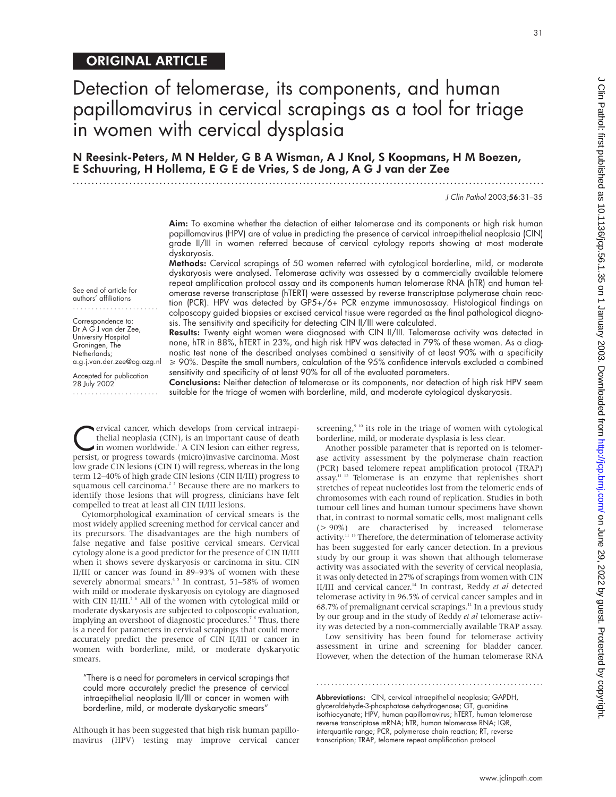## ORIGINAL ARTICLE

# Detection of telomerase, its components, and human papillomavirus in cervical scrapings as a tool for triage in women with cervical dysplasia

N Reesink-Peters, M N Helder,GBA Wisman, A J Knol, S Koopmans, H M Boezen, E Schuuring, H Hollema, E G E de Vries, S de Jong, A G J van der Zee

J Clin Pathol 2003;56:31–35

Aim: To examine whether the detection of either telomerase and its components or high risk human papillomavirus (HPV) are of value in predicting the presence of cervical intraepithelial neoplasia (CIN) grade II/III in women referred because of cervical cytology reports showing at most moderate dyskaryosis.

Methods: Cervical scrapings of 50 women referred with cytological borderline, mild, or moderate dyskaryosis were analysed. Telomerase activity was assessed by a commercially available telomere repeat amplification protocol assay and its components human telomerase RNA (hTR) and human telomerase reverse transcriptase (hTERT) were assessed by reverse transcriptase polymerase chain reaction (PCR). HPV was detected by GP5+/6+ PCR enzyme immunosassay. Histological findings on colposcopy guided biopsies or excised cervical tissue were regarded as the final pathological diagnosis. The sensitivity and specificity for detecting CIN II/III were calculated.

Results: Twenty eight women were diagnosed with CIN II/III. Telomerase activity was detected in none, hTR in 88%, hTERT in 23%, and high risk HPV was detected in 79% of these women. As a diagnostic test none of the described analyses combined a sensitivity of at least 90% with a specificity  $\geqslant$  90%. Despite the small numbers, calculation of the 95% confidence intervals excluded a combined sensitivity and specificity of at least 90% for all of the evaluated parameters.

Groningen, The Netherlands; a.g.j.van.der.zee@og.azg.nl

See end of article for authors' affiliations ....................... Correspondence to: Dr A G J van der Zee, University Hospital

Accepted for publication 28 July 2002 .......................

Conclusions: Neither detection of telomerase or its components, nor detection of high risk HPV seem suitable for the triage of women with borderline, mild, and moderate cytological dyskaryosis.

**C**ervical cancer, which develops from cervical intraepitible in women worldwide.<sup>1</sup> A CIN lesion can either regress, nersist or progress towards (micro)invasive carcinoma Most thelial neoplasia (CIN), is an important cause of death persist, or progress towards (micro)invasive carcinoma. Most low grade CIN lesions (CIN I) will regress, whereas in the long term 12–40% of high grade CIN lesions (CIN II/III) progress to squamous cell carcinoma.<sup>23</sup> Because there are no markers to identify those lesions that will progress, clinicians have felt compelled to treat at least all CIN II/III lesions.

Cytomorphological examination of cervical smears is the most widely applied screening method for cervical cancer and its precursors. The disadvantages are the high numbers of false negative and false positive cervical smears. Cervical cytology alone is a good predictor for the presence of CIN II/III when it shows severe dyskaryosis or carcinoma in situ. CIN II/III or cancer was found in 89–93% of women with these severely abnormal smears.<sup>45</sup> In contrast, 51-58% of women with mild or moderate dyskaryosis on cytology are diagnosed with CIN II/III.<sup>5 6</sup> All of the women with cytological mild or moderate dyskaryosis are subjected to colposcopic evaluation, implying an overshoot of diagnostic procedures.7 8 Thus, there is a need for parameters in cervical scrapings that could more accurately predict the presence of CIN II/III or cancer in women with borderline, mild, or moderate dyskaryotic smears.

"There is a need for parameters in cervical scrapings that could more accurately predict the presence of cervical intraepithelial neoplasia II/III or cancer in women with borderline, mild, or moderate dyskaryotic smears"

Although it has been suggested that high risk human papillomavirus (HPV) testing may improve cervical cancer screening, $9^{10}$  its role in the triage of women with cytological borderline, mild, or moderate dysplasia is less clear.

Another possible parameter that is reported on is telomerase activity assessment by the polymerase chain reaction (PCR) based telomere repeat amplification protocol (TRAP) assay.<sup>11-12</sup> Telomerase is an enzyme that replenishes short stretches of repeat nucleotides lost from the telomeric ends of chromosomes with each round of replication. Studies in both tumour cell lines and human tumour specimens have shown that, in contrast to normal somatic cells, most malignant cells (> 90%) are characterised by increased telomerase activity.  $^{\rm 11\,13}$  Therefore, the determination of telomerase activity has been suggested for early cancer detection. In a previous study by our group it was shown that although telomerase activity was associated with the severity of cervical neoplasia, it was only detected in 27% of scrapings from women with CIN II/III and cervical cancer.14 In contrast, Reddy *et al* detected telomerase activity in 96.5% of cervical cancer samples and in 68.7% of premalignant cervical scrapings.<sup>11</sup> In a previous study by our group and in the study of Reddy *et al* telomerase activity was detected by a non-commercially available TRAP assay.

Low sensitivity has been found for telomerase activity assessment in urine and screening for bladder cancer. However, when the detection of the human telomerase RNA

.............................................................

Abbreviations: CIN, cervical intraepithelial neoplasia; GAPDH, glyceraldehyde-3-phosphatase dehydrogenase; GT, guanidine isothiocyanate; HPV, human papillomavirus; hTERT, human telomerase reverse transcriptase mRNA; hTR, human telomerase RNA; IQR, interquartile range; PCR, polymerase chain reaction; RT, reverse transcription; TRAP, telomere repeat amplification protocol

31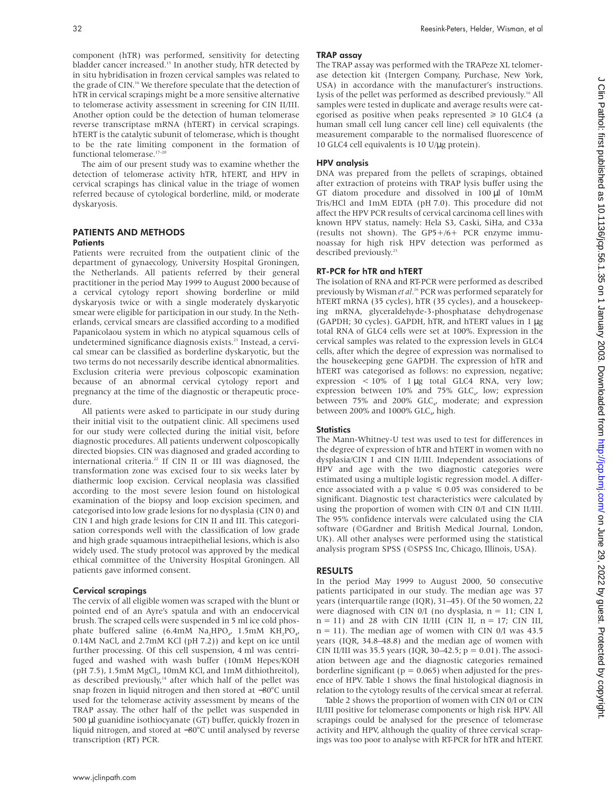component (hTR) was performed, sensitivity for detecting bladder cancer increased.<sup>15</sup> In another study, hTR detected by in situ hybridisation in frozen cervical samples was related to the grade of CIN.<sup>16</sup> We therefore speculate that the detection of hTR in cervical scrapings might be a more sensitive alternative to telomerase activity assessment in screening for CIN II/III. Another option could be the detection of human telomerase reverse transcriptase mRNA (hTERT) in cervical scrapings. hTERT is the catalytic subunit of telomerase, which is thought to be the rate limiting component in the formation of functional telomerase.<sup>17-2</sup>

The aim of our present study was to examine whether the detection of telomerase activity hTR, hTERT, and HPV in cervical scrapings has clinical value in the triage of women referred because of cytological borderline, mild, or moderate dyskaryosis.

#### PATIENTS AND METHODS **Patients**

Patients were recruited from the outpatient clinic of the department of gynaecology, University Hospital Groningen, the Netherlands. All patients referred by their general practitioner in the period May 1999 to August 2000 because of a cervical cytology report showing borderline or mild dyskaryosis twice or with a single moderately dyskaryotic smear were eligible for participation in our study. In the Netherlands, cervical smears are classified according to a modified Papanicolaou system in which no atypical squamous cells of undetermined significance diagnosis exists.<sup>21</sup> Instead, a cervical smear can be classified as borderline dyskaryotic, but the two terms do not necessarily describe identical abnormalities. Exclusion criteria were previous colposcopic examination because of an abnormal cervical cytology report and pregnancy at the time of the diagnostic or therapeutic procedure.

All patients were asked to participate in our study during their initial visit to the outpatient clinic. All specimens used for our study were collected during the initial visit, before diagnostic procedures. All patients underwent colposcopically directed biopsies. CIN was diagnosed and graded according to international criteria.<sup>22</sup> If CIN II or III was diagnosed, the transformation zone was excised four to six weeks later by diathermic loop excision. Cervical neoplasia was classified according to the most severe lesion found on histological examination of the biopsy and loop excision specimen, and categorised into low grade lesions for no dysplasia (CIN 0) and CIN I and high grade lesions for CIN II and III. This categorisation corresponds well with the classification of low grade and high grade squamous intraepithelial lesions, which is also widely used. The study protocol was approved by the medical ethical committee of the University Hospital Groningen. All patients gave informed consent.

#### Cervical scrapings

The cervix of all eligible women was scraped with the blunt or pointed end of an Ayre's spatula and with an endocervical brush. The scraped cells were suspended in 5 ml ice cold phosphate buffered saline (6.4mM  $\text{Na}_{2}\text{HPO}_{4}$ , 1.5mM  $\text{KH}_{2}\text{PO}_{4}$ , 0.14M NaCl, and 2.7mM KCl (pH 7.2)) and kept on ice until further processing. Of this cell suspension, 4 ml was centrifuged and washed with wash buffer (10mM Hepes/KOH (pH 7.5), 1.5mM MgCl,, 10mM KCl, and 1mM dithiothreitol), as described previously,<sup>14</sup> after which half of the pellet was snap frozen in liquid nitrogen and then stored at −80°C until used for the telomerase activity assessment by means of the TRAP assay. The other half of the pellet was suspended in 500 µl guanidine isothiocyanate (GT) buffer, quickly frozen in liquid nitrogen, and stored at −80°C until analysed by reverse transcription (RT) PCR.

#### TRAP assay

The TRAP assay was performed with the TRAPeze XL telomerase detection kit (Intergen Company, Purchase, New York, USA) in accordance with the manufacturer's instructions. Lysis of the pellet was performed as described previously.<sup>16</sup> All samples were tested in duplicate and average results were categorised as positive when peaks represented  $\geq 10$  GLC4 (a human small cell lung cancer cell line) cell equivalents (the measurement comparable to the normalised fluorescence of 10 GLC4 cell equivalents is 10 U/µg protein).

#### HPV analysis

DNA was prepared from the pellets of scrapings, obtained after extraction of proteins with TRAP lysis buffer using the GT diatom procedure and dissolved in 100 µl of 10mM Tris/HCl and 1mM EDTA (pH 7.0). This procedure did not affect the HPV PCR results of cervical carcinoma cell lines with known HPV status, namely: Hela S3, Caski, SiHa, and C33a (results not shown). The GP5+/6+ PCR enzyme immunoassay for high risk HPV detection was performed as described previously.<sup>23</sup>

### RT-PCR for hTR and hTERT

The isolation of RNA and RT-PCR were performed as described previously by Wisman *et al*. <sup>16</sup> PCR was performed separately for hTERT mRNA (35 cycles), hTR (35 cycles), and a housekeeping mRNA, glyceraldehyde-3-phosphatase dehydrogenase (GAPDH; 30 cycles). GAPDH, hTR, and hTERT values in 1 µg total RNA of GLC4 cells were set at 100%. Expression in the cervical samples was related to the expression levels in GLC4 cells, after which the degree of expression was normalised to the housekeeping gene GAPDH. The expression of hTR and hTERT was categorised as follows: no expression, negative; expression  $\lt 10\%$  of 1 µg total GLC4 RNA, very low; expression between 10% and 75%  $GLC_{at}$ , low; expression between 75% and 200%  $GLC_{4}$ , moderate; and expression between 200% and 1000%  $GLC_{4}$ , high.

#### **Statistics**

The Mann-Whitney-U test was used to test for differences in the degree of expression of hTR and hTERT in women with no dysplasia/CIN I and CIN II/III. Independent associations of HPV and age with the two diagnostic categories were estimated using a multiple logistic regression model. A difference associated with a p value  $\leq 0.05$  was considered to be significant. Diagnostic test characteristics were calculated by using the proportion of women with CIN 0/I and CIN II/III. The 95% confidence intervals were calculated using the CIA software (©Gardner and British Medical Journal, London, UK). All other analyses were performed using the statistical analysis program SPSS (©SPSS Inc, Chicago, Illinois, USA).

### RESULTS

In the period May 1999 to August 2000, 50 consecutive patients participated in our study. The median age was 37 years (interquartile range (IQR), 31–45). Of the 50 women, 22 were diagnosed with CIN  $0/I$  (no dysplasia,  $n = 11$ ; CIN I,  $n = 11$ ) and 28 with CIN II/III (CIN II,  $n = 17$ ; CIN III,  $n = 11$ ). The median age of women with CIN 0/I was 43.5 years (IQR, 34.8–48.8) and the median age of women with CIN II/III was 35.5 years (IQR, 30–42.5;  $p = 0.01$ ). The association between age and the diagnostic categories remained borderline significant ( $p = 0.065$ ) when adjusted for the presence of HPV. Table 1 shows the final histological diagnosis in relation to the cytology results of the cervical smear at referral.

Table 2 shows the proportion of women with CIN 0/I or CIN II/III positive for telomerase components or high risk HPV. All scrapings could be analysed for the presence of telomerase activity and HPV, although the quality of three cervical scrapings was too poor to analyse with RT-PCR for hTR and hTERT.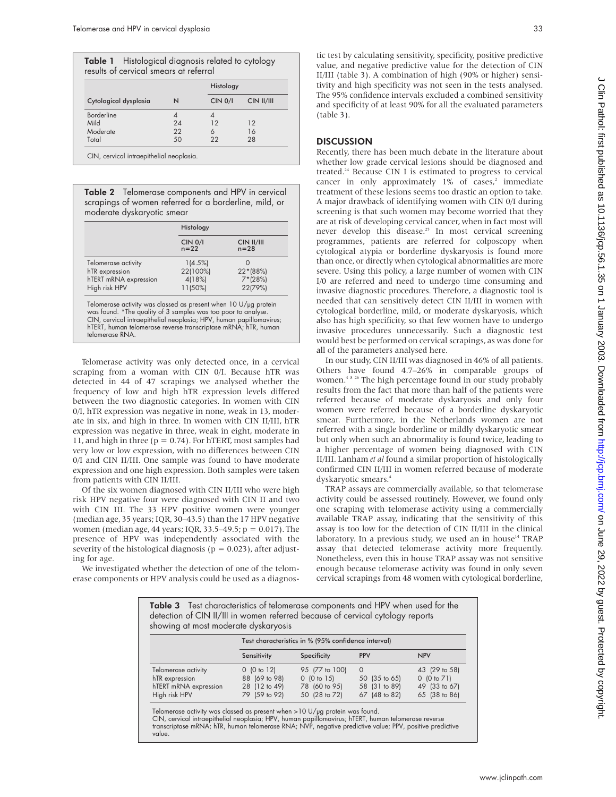| <b>Table 1</b> Histological diagnosis related to cytology<br>results of cervical smears at referral |    |                |            |  |  |  |
|-----------------------------------------------------------------------------------------------------|----|----------------|------------|--|--|--|
|                                                                                                     |    | Histology      |            |  |  |  |
| Cytological dysplasia                                                                               |    | <b>CIN 0/1</b> | CIN II/III |  |  |  |
| <b>Borderline</b>                                                                                   |    |                |            |  |  |  |
| Mild                                                                                                | 24 | 12             | 12         |  |  |  |
| Moderate                                                                                            | 22 | 6              | 16         |  |  |  |
| Total                                                                                               | 50 | 22             | 28         |  |  |  |

CIN, cervical intraepithelial neoplasia.

Table 2 Telomerase components and HPV in cervical scrapings of women referred for a borderline, mild, or moderate dyskaryotic smear

|                                                                                                                                                                                                                                                                                                   | <b>Histology</b>                         |                                    |  |  |
|---------------------------------------------------------------------------------------------------------------------------------------------------------------------------------------------------------------------------------------------------------------------------------------------------|------------------------------------------|------------------------------------|--|--|
|                                                                                                                                                                                                                                                                                                   | <b>CIN 0/1</b><br>$n = 22$               | CIN II/III<br>$n = 28$             |  |  |
| Telomerase activity<br>hTR expression<br>hTERT mRNA expression<br>High risk HPV                                                                                                                                                                                                                   | 1(4.5%)<br>22(100%)<br>4(18%)<br>11(50%) | $22*(88%)$<br>$7*(28%)$<br>22(79%) |  |  |
| Telomerase activity was classed as present when $10 U/\mu g$ protein<br>was found. *The quality of 3 samples was too poor to analyse.<br>CIN, cervical intraepithelial neoplasia; HPV, human papillomavirus;<br>hTERT, human telomerase reverse transcriptase mRNA; hTR, human<br>telomerase RNA. |                                          |                                    |  |  |

Telomerase activity was only detected once, in a cervical scraping from a woman with CIN 0/I. Because hTR was detected in 44 of 47 scrapings we analysed whether the frequency of low and high hTR expression levels differed between the two diagnostic categories. In women with CIN 0/I, hTR expression was negative in none, weak in 13, moderate in six, and high in three. In women with CIN II/III, hTR expression was negative in three, weak in eight, moderate in 11, and high in three ( $p = 0.74$ ). For hTERT, most samples had very low or low expression, with no differences between CIN 0/I and CIN II/III. One sample was found to have moderate expression and one high expression. Both samples were taken from patients with CIN II/III.

Of the six women diagnosed with CIN II/III who were high risk HPV negative four were diagnosed with CIN II and two with CIN III. The 33 HPV positive women were younger (median age, 35 years; IQR, 30–43.5) than the 17 HPV negative women (median age, 44 years; IQR, 33.5–49.5; p = 0.017). The presence of HPV was independently associated with the severity of the histological diagnosis ( $p = 0.023$ ), after adjusting for age.

We investigated whether the detection of one of the telomerase components or HPV analysis could be used as a diagnostic test by calculating sensitivity, specificity, positive predictive value, and negative predictive value for the detection of CIN II/III (table 3). A combination of high (90% or higher) sensitivity and high specificity was not seen in the tests analysed. The 95% confidence intervals excluded a combined sensitivity and specificity of at least 90% for all the evaluated parameters (table 3).

#### **DISCUSSION**

Recently, there has been much debate in the literature about whether low grade cervical lesions should be diagnosed and treated.24 Because CIN I is estimated to progress to cervical cancer in only approximately  $1\%$  of cases,<sup>2</sup> immediate treatment of these lesions seems too drastic an option to take. A major drawback of identifying women with CIN 0/I during screening is that such women may become worried that they are at risk of developing cervical cancer, when in fact most will never develop this disease.<sup>25</sup> In most cervical screening programmes, patients are referred for colposcopy when cytological atypia or borderline dyskaryosis is found more than once, or directly when cytological abnormalities are more severe. Using this policy, a large number of women with CIN I/0 are referred and need to undergo time consuming and invasive diagnostic procedures. Therefore, a diagnostic tool is needed that can sensitively detect CIN II/III in women with cytological borderline, mild, or moderate dyskaryosis, which also has high specificity, so that few women have to undergo invasive procedures unnecessarily. Such a diagnostic test would best be performed on cervical scrapings, as was done for all of the parameters analysed here.

In our study, CIN II/III was diagnosed in 46% of all patients. Others have found 4.7–26% in comparable groups of women.4 8 26 The high percentage found in our study probably results from the fact that more than half of the patients were referred because of moderate dyskaryosis and only four women were referred because of a borderline dyskaryotic smear. Furthermore, in the Netherlands women are not referred with a single borderline or mildly dyskaryotic smear but only when such an abnormality is found twice, leading to a higher percentage of women being diagnosed with CIN II/III. Lanham *et al* found a similar proportion of histologically confirmed CIN II/III in women referred because of moderate dyskaryotic smears.4

TRAP assays are commercially available, so that telomerase activity could be assessed routinely. However, we found only one scraping with telomerase activity using a commercially available TRAP assay, indicating that the sensitivity of this assay is too low for the detection of CIN II/III in the clinical laboratory. In a previous study, we used an in house<sup>14</sup> TRAP assay that detected telomerase activity more frequently. Nonetheless, even this in house TRAP assay was not sensitive enough because telomerase activity was found in only seven cervical scrapings from 48 women with cytological borderline,

Table 3 Test characteristics of telomerase components and HPV when used for the detection of CIN II/III in women referred because of cervical cytology reports showing at most moderate dyskaryosis

|                                                                                 | Test characteristics in % (95% confidence interval)                              |                                                                   |                                                             |                                                                  |  |
|---------------------------------------------------------------------------------|----------------------------------------------------------------------------------|-------------------------------------------------------------------|-------------------------------------------------------------|------------------------------------------------------------------|--|
|                                                                                 | Sensitivity                                                                      | Specificity                                                       | <b>PPV</b>                                                  | <b>NPV</b>                                                       |  |
| Telomerase activity<br>hTR expression<br>hTERT mRNA expression<br>High risk HPV | $0 \; (0 \; \text{to} \; 12)$<br>88 (69 to 98)<br>28 (12 to 49)<br>79 (59 to 92) | 95 (77 to 100)<br>$0$ (0 to 15)<br>78 (60 to 95)<br>50 (28 to 72) | $\Omega$<br>50 (35 to 65)<br>58 (31 to 89)<br>67 (48 to 82) | 43 (29 to 58)<br>$0$ (0 to 71)<br>49 (33 to 67)<br>65 (38 to 86) |  |

Telomerase activity was classed as present when >10 U/µg protein was found.

CIN, cervical intraepithelial neoplasia; HPV, human papillomavirus; hTERT, human telomerase reverse transcriptase mRNA; hTR, human telomerase RNA; NVP, negative predictive value; PPV, positive predictive value.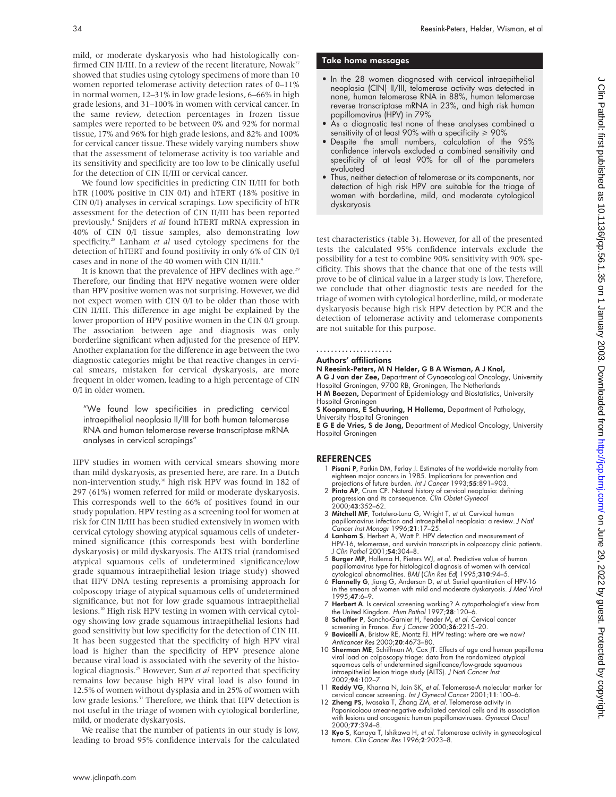mild, or moderate dyskaryosis who had histologically confirmed CIN II/III. In a review of the recent literature, Nowak<sup>27</sup> showed that studies using cytology specimens of more than 10 women reported telomerase activity detection rates of 0–11% in normal women, 12–31% in low grade lesions, 6–66% in high grade lesions, and 31–100% in women with cervical cancer. In the same review, detection percentages in frozen tissue samples were reported to be between 0% and 92% for normal tissue, 17% and 96% for high grade lesions, and 82% and 100% for cervical cancer tissue. These widely varying numbers show that the assessment of telomerase activity is too variable and its sensitivity and specificity are too low to be clinically useful for the detection of CIN II/III or cervical cancer.

We found low specificities in predicting CIN II/III for both hTR (100% positive in CIN 0/I) and hTERT (18% positive in CIN 0/I) analyses in cervical scrapings. Low specificity of hTR assessment for the detection of CIN II/III has been reported previously.4 Snijders *et al* found hTERT mRNA expression in 40% of CIN 0/I tissue samples, also demonstrating low specificity.28 Lanham *et al* used cytology specimens for the detection of hTERT and found positivity in only 6% of CIN 0/I cases and in none of the 40 women with CIN II/III.<sup>4</sup>

It is known that the prevalence of HPV declines with age.<sup>29</sup> Therefore, our finding that HPV negative women were older than HPV positive women was not surprising. However, we did not expect women with CIN 0/I to be older than those with CIN II/III. This difference in age might be explained by the lower proportion of HPV positive women in the CIN 0/I group. The association between age and diagnosis was only borderline significant when adjusted for the presence of HPV. Another explanation for the difference in age between the two diagnostic categories might be that reactive changes in cervical smears, mistaken for cervical dyskaryosis, are more frequent in older women, leading to a high percentage of CIN 0/I in older women.

"We found low specificities in predicting cervical intraepithelial neoplasia II/III for both human telomerase RNA and human telomerase reverse transcriptase mRNA analyses in cervical scrapings"

HPV studies in women with cervical smears showing more than mild dyskaryosis, as presented here, are rare. In a Dutch non-intervention study,<sup>30</sup> high risk HPV was found in 182 of 297 (61%) women referred for mild or moderate dyskaryosis. This corresponds well to the 66% of positives found in our study population. HPV testing as a screening tool for women at risk for CIN II/III has been studied extensively in women with cervical cytology showing atypical squamous cells of undetermined significance (this corresponds best with borderline dyskaryosis) or mild dyskaryosis. The ALTS trial (randomised atypical squamous cells of undetermined significance/low grade squamous intraepithelial lesion triage study) showed that HPV DNA testing represents a promising approach for colposcopy triage of atypical squamous cells of undetermined significance, but not for low grade squamous intraepithelial lesions.10 High risk HPV testing in women with cervical cytology showing low grade squamous intraepithelial lesions had good sensitivity but low specificity for the detection of CIN III. It has been suggested that the specificity of high HPV viral load is higher than the specificity of HPV presence alone because viral load is associated with the severity of the histological diagnosis.29 However, Sun *et al* reported that specificity remains low because high HPV viral load is also found in 12.5% of women without dysplasia and in 25% of women with low grade lesions.<sup>31</sup> Therefore, we think that HPV detection is not useful in the triage of women with cytological borderline, mild, or moderate dyskaryosis.

We realise that the number of patients in our study is low, leading to broad 95% confidence intervals for the calculated

#### Take home messages

- In the 28 women diagnosed with cervical intraepithelial neoplasia (CIN) II/III, telomerase activity was detected in none, human telomerase RNA in 88%, human telomerase reverse transcriptase mRNA in 23%, and high risk human papillomavirus (HPV) in 79%
- As a diagnostic test none of these analyses combined a sensitivity of at least 90% with a specificity  $\geq 90\%$
- Despite the small numbers, calculation of the 95% confidence intervals excluded a combined sensitivity and specificity of at least 90% for all of the parameters evaluated
- Thus, neither detection of telomerase or its components, nor detection of high risk HPV are suitable for the triage of women with borderline, mild, and moderate cytological dyskaryosis

test characteristics (table 3). However, for all of the presented tests the calculated 95% confidence intervals exclude the possibility for a test to combine 90% sensitivity with 90% specificity. This shows that the chance that one of the tests will prove to be of clinical value in a larger study is low. Therefore, we conclude that other diagnostic tests are needed for the triage of women with cytological borderline, mild, or moderate dyskaryosis because high risk HPV detection by PCR and the detection of telomerase activity and telomerase components are not suitable for this purpose.

## .....................

#### Authors' affiliations

- N Reesink-Peters, M N Helder, G B A Wisman, A J Knol,
- A G J van der Zee, Department of Gynaecological Oncology, University Hospital Groningen, 9700 RB, Groningen, The Netherlands

H M Boezen, Department of Epidemiology and Biostatistics, University Hospital Groningen S Koopmans, E Schuuring, H Hollema, Department of Pathology,

University Hospital Groningen

E G E de Vries, S de Jong, Department of Medical Oncology, University Hospital Groningen

#### REFERENCES

- 1 Pisani P, Parkin DM, Ferlay J. Estimates of the worldwide mortality from eighteen major cancers in 1985. Implications for prevention and projections of future burden. Int J Cancer 1993;55:891-903.
- 2 Pinto AP, Crum CP. Natural history of cervical neoplasia: defining progression and its consequence. Clin Obstet Gynecol 2000;43:352–62.
- 3 Mitchell MF, Tortolero-Luna G, Wright T, et al. Cervical human papillomavirus infection and intraepithelial neoplasia: a review. J Natl Cancer Inst Monogr 1996;21:17–25.
- 4 Lanham S, Herbert A, Watt P. HPV detection and measurement of HPV-16, telomerase, and survivin transcripts in colposcopy clinic patients. J Clin Pathol 2001;54:304–8.
- 5 Burger MP, Hollema H, Pieters WJ, et al. Predictive value of human papillomavirus type for histological diagnosis of women with cervical cytological abnormalities. BMJ (Clin Res Ed) 1995;310:94-5.
- 6 Flannelly G, Jiang G, Anderson D, et al. Serial quantitation of HPV-16 in the smears of women with mild and moderate dyskaryosis. J Med Virol 1995;47:6–9.
- 7 **Herbert A**. Is cervical screening working? A cytopathologist's view from<br>the United Kingdom. *Hum Pathol* 1997;**28**:120–6.<br>8 **Schaffer P**, Sancho-Garnier H, Fender M, *et al*. Cervical cancer
- screening in France. Eur J Cancer 2000;36:2215–20.
- 9 Bovicelli A, Bristow RE, Montz FJ. HPV testing: where are we now? Anticancer Res 2000;20:4673–80.
- 10 Sherman ME, Schiffman M, Cox JT. Effects of age and human papilloma viral load on colposcopy triage: data from the randomized atypical squamous cells of undetermined significance/low-grade squamous intraepithelial lesion triage study (ALTS). J Natl Cancer Inst 2002;94:102–7.
- 11 Reddy VG, Khanna N, Jain SK, et al. Telomerase-A molecular marker for cervical cancer screening. Int J Gynecol Cancer 2001;11:100–6. 12 Zheng PS, Iwasaka T, Zhang ZM, et al. Telomerase activity in
- Papanicolaou smear-negative exfoliated cervical cells and its association with lesions and oncogenic human papillomaviruses. Gynecol Oncol 2000;77:394–8.
- 13 Kyo S, Kanaya T, Ishikawa H, et al. Telomerase activity in gynecological tumors. Clin Cancer Res 1996;2:2023–8.